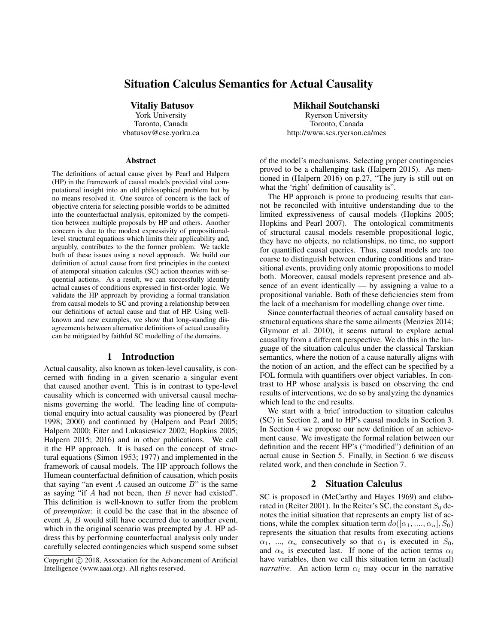# Situation Calculus Semantics for Actual Causality

Vitaliy Batusov York University

Toronto, Canada vbatusov@cse.yorku.ca

#### Abstract

The definitions of actual cause given by Pearl and Halpern (HP) in the framework of causal models provided vital computational insight into an old philosophical problem but by no means resolved it. One source of concern is the lack of objective criteria for selecting possible worlds to be admitted into the counterfactual analysis, epitomized by the competition between multiple proposals by HP and others. Another concern is due to the modest expressivity of propositionallevel structural equations which limits their applicability and, arguably, contributes to the the former problem. We tackle both of these issues using a novel approach. We build our definition of actual cause from first principles in the context of atemporal situation calculus (SC) action theories with sequential actions. As a result, we can successfully identify actual causes of conditions expressed in first-order logic. We validate the HP approach by providing a formal translation from causal models to SC and proving a relationship between our definitions of actual cause and that of HP. Using wellknown and new examples, we show that long-standing disagreements between alternative definitions of actual causality can be mitigated by faithful SC modelling of the domains.

## 1 Introduction

Actual causality, also known as token-level causality, is concerned with finding in a given scenario a singular event that caused another event. This is in contrast to type-level causality which is concerned with universal causal mechanisms governing the world. The leading line of computational enquiry into actual causality was pioneered by (Pearl 1998; 2000) and continued by (Halpern and Pearl 2005; Halpern 2000; Eiter and Lukasiewicz 2002; Hopkins 2005; Halpern 2015; 2016) and in other publications. We call it the HP approach. It is based on the concept of structural equations (Simon 1953; 1977) and implemented in the framework of causal models. The HP approach follows the Humean counterfactual definition of causation, which posits that saying "an event  $A$  caused an outcome  $B$ " is the same as saying "if  $A$  had not been, then  $B$  never had existed". This definition is well-known to suffer from the problem of *preemption*: it could be the case that in the absence of event A, B would still have occurred due to another event, which in the original scenario was preempted by A. HP address this by performing counterfactual analysis only under carefully selected contingencies which suspend some subset

#### Mikhail Soutchanski

Ryerson University Toronto, Canada http://www.scs.ryerson.ca/mes

of the model's mechanisms. Selecting proper contingencies proved to be a challenging task (Halpern 2015). As mentioned in (Halpern 2016) on p.27, "The jury is still out on what the 'right' definition of causality is".

The HP approach is prone to producing results that cannot be reconciled with intuitive understanding due to the limited expressiveness of causal models (Hopkins 2005; Hopkins and Pearl 2007). The ontological commitments of structural causal models resemble propositional logic, they have no objects, no relationships, no time, no support for quantified causal queries. Thus, causal models are too coarse to distinguish between enduring conditions and transitional events, providing only atomic propositions to model both. Moreover, causal models represent presence and absence of an event identically — by assigning a value to a propositional variable. Both of these deficiencies stem from the lack of a mechanism for modelling change over time.

Since counterfactual theories of actual causality based on structural equations share the same ailments (Menzies 2014; Glymour et al. 2010), it seems natural to explore actual causality from a different perspective. We do this in the language of the situation calculus under the classical Tarskian semantics, where the notion of a cause naturally aligns with the notion of an action, and the effect can be specified by a FOL formula with quantifiers over object variables. In contrast to HP whose analysis is based on observing the end results of interventions, we do so by analyzing the dynamics which lead to the end results.

We start with a brief introduction to situation calculus (SC) in Section 2, and to HP's causal models in Section 3. In Section 4 we propose our new definition of an achievement cause. We investigate the formal relation between our definition and the recent HP's ("modified") definition of an actual cause in Section 5. Finally, in Section 6 we discuss related work, and then conclude in Section 7.

#### 2 Situation Calculus

SC is proposed in (McCarthy and Hayes 1969) and elaborated in (Reiter 2001). In the Reiter's SC, the constant  $S_0$  denotes the initial situation that represents an empty list of actions, while the complex situation term  $do([\alpha_1, ..., \alpha_n], S_0)$ represents the situation that results from executing actions  $\alpha_1$ , ...,  $\alpha_n$  consecutively so that  $\alpha_1$  is executed in  $S_0$ , and  $\alpha_n$  is executed last. If none of the action terms  $\alpha_i$ have variables, then we call this situation term an (actual) *narrative*. An action term  $\alpha_i$  may occur in the narrative

Copyright (c) 2018, Association for the Advancement of Artificial Intelligence (www.aaai.org). All rights reserved.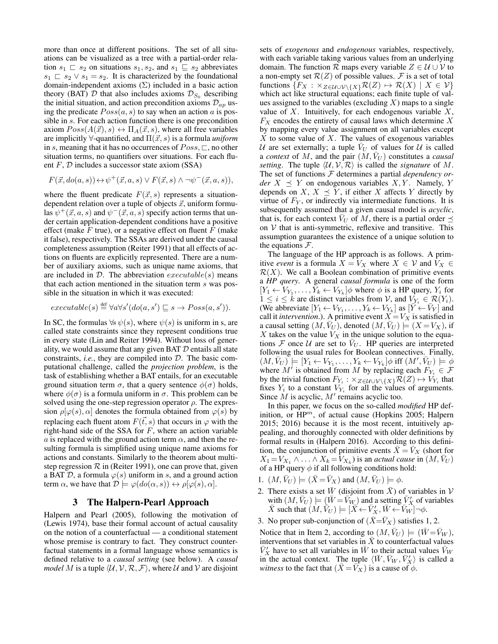more than once at different positions. The set of all situations can be visualized as a tree with a partial-order relation  $s_1 \rvert s_2$  on situations  $s_1, s_2$ , and  $s_1 \rvert s_2$  abbreviates  $s_1 \n\sqsubset s_2 \vee s_1 = s_2$ . It is characterized by the foundational domain-independent axioms  $(\Sigma)$  included in a basic action theory (BAT)  $D$  that also includes axioms  $\mathcal{D}_{S_0}$  describing the initial situation, and action precondition axioms  $\mathcal{D}_{ap}$  using the predicate  $Poss(a, s)$  to say when an action a is possible in s. For each action function there is one precondition axiom  $Poss(A(\vec{x}), s) \leftrightarrow \Pi_A(\vec{x}, s)$ , where all free variables are implicitly  $\forall$ -quantified, and  $\Pi(\vec{x}, s)$  is a formula *uniform* in s, meaning that it has no occurrences of  $Poss$ ,  $\Box$ , no other situation terms, no quantifiers over situations. For each fluent  $F$ ,  $D$  includes a successor state axiom (SSA)

$$
F(\vec{x}, do(a, s)) \leftrightarrow \psi^+(\vec{x}, a, s) \lor F(\vec{x}, s) \land \neg \psi^-(\vec{x}, a, s)),
$$

where the fluent predicate  $F(\vec{x}, s)$  represents a situationdependent relation over a tuple of objects  $\vec{x}$ , uniform formulas  $\psi^+(\vec{x}, a, s)$  and  $\psi^-(\vec{x}, a, s)$  specify action terms that under certain application-dependent conditions have a positive effect (make  $F$  true), or a negative effect on fluent  $F$  (make it false), respectively. The SSAs are derived under the causal completeness assumption (Reiter 1991) that all effects of actions on fluents are explicitly represented. There are a number of auxiliary axioms, such as unique name axioms, that are included in  $D$ . The abbreviation  $execute(s)$  means that each action mentioned in the situation term s was possible in the situation in which it was executed:

$$
executable(s) \stackrel{\text{def}}{=} \forall a \forall s' (do(a, s') \sqsubseteq s \rightarrow Poss(a, s')).
$$

In SC, the formulas  $\forall s \psi(s)$ , where  $\psi(s)$  is uniform in s, are called state constraints since they represent conditions true in every state (Lin and Reiter 1994). Without loss of generality, we would assume that any given BAT  $D$  entails all state constraints, *i.e.*, they are compiled into D. The basic computational challenge, called the *projection problem*, is the task of establishing whether a BAT entails, for an executable ground situation term  $\sigma$ , that a query sentence  $\phi(\sigma)$  holds, where  $\phi(\sigma)$  is a formula uniform in  $\sigma$ . This problem can be solved using the one-step regression operator  $\rho$ . The expression  $\rho[\varphi(s), \alpha]$  denotes the formula obtained from  $\varphi(s)$  by replacing each fluent atom  $F(\vec{t}, s)$  that occurs in  $\varphi$  with the right-hand side of the SSA for  $F$ , where an action variable a is replaced with the ground action term  $\alpha$ , and then the resulting formula is simplified using unique name axioms for actions and constants. Similarly to the theorem about multistep regression  $R$  in (Reiter 1991), one can prove that, given a BAT D, a formula  $\varphi(s)$  uniform in s, and a ground action term  $\alpha$ , we have that  $\mathcal{D} \models \varphi(do(\alpha, s)) \leftrightarrow \rho[\varphi(s), \alpha].$ 

## 3 The Halpern-Pearl Approach

Halpern and Pearl (2005), following the motivation of (Lewis 1974), base their formal account of actual causality on the notion of a counterfactual — a conditional statement whose premise is contrary to fact. They construct counterfactual statements in a formal language whose semantics is defined relative to a *causal setting* (see below). A *causal model* M is a tuple  $\langle U, V, R, F \rangle$ , where U and V are disjoint

sets of *exogenous* and *endogenous* variables, respectively, with each variable taking various values from an underlying domain. The function R maps every variable  $Z \in \mathcal{U} \cup \mathcal{V}$  to a non-empty set  $\mathcal{R}(Z)$  of possible values. F is a set of total functions  $\{F_X : \times_{Z \in \mathcal{U} \cup \mathcal{V} \backslash \{X\}} \mathcal{R}(Z) \mapsto \mathcal{R}(X) \mid X \in \mathcal{V}\}\$ which act like structural equations; each finite tuple of values assigned to the variables (excluding  $X$ ) maps to a single value of  $X$ . Intuitively, for each endogenous variable  $X$ ,  $F_X$  encodes the entirety of causal laws which determine  $X$ by mapping every value assignment on all variables except  $X$  to some value of  $X$ . The values of exogenous variables U are set externally; a tuple  $V_U$  of values for U is called a *context* of M, and the pair  $(M, V_U)$  constitutes a *causal setting*. The tuple  $\langle U, V, R \rangle$  is called the *signature* of M. The set of functions F determines a partial *dependency order*  $X \preceq Y$  on endogenous variables  $X, Y$ . Namely, Y depends on X,  $X \preceq Y$ , if either X affects Y directly by virtue of  $F_Y$ , or indirectly via intermediate functions. It is subsequently assumed that a given causal model is *acyclic*, that is, for each context  $V_U$  of M, there is a partial order  $\preceq$ on  $V$  that is anti-symmetric, reflexive and transitive. This assumption guarantees the existence of a unique solution to the equations  $\mathcal{F}$ .

The language of the HP approach is as follows. A primitive *event* is a formula  $X = V_X$  where  $X \in V$  and  $V_X \in$  $\mathcal{R}(X)$ . We call a Boolean combination of primitive events a *HP query*. A general *causal formula* is one of the form  $[Y_1 \leftarrow V_{Y_1}, \ldots, Y_k \leftarrow V_{Y_k}] \phi$  where  $\phi$  is a HP query,  $Y_i$  for  $1 \leq i \leq k$  are distinct variables from V, and  $V_{Y_i} \in \mathcal{R}(Y_i)$ . (We abbreviate  $[Y_1 \leftarrow V_{Y_1}, \ldots, Y_k \leftarrow V_{Y_k}]$  as  $[\overrightarrow{Y} \leftarrow \overrightarrow{V}_Y]$  and call it *intervention*.). A primitive event  $X = V_X$  is satisfied in a causal setting  $(M, \bar{V}_U)$ , denoted  $(M, \bar{V}_U) \models (X = V_X)$ , if X takes on the value  $V_X$  in the unique solution to the equations  $\mathcal F$  once  $\mathcal U$  are set to  $\bar{V}_U$ . HP queries are interpreted following the usual rules for Boolean connectives. Finally,  $(M, \bar{V}_U) \models [Y_1 \leftarrow V_{Y_1}, \ldots, Y_k \leftarrow V_{Y_k}] \phi \text{ iff } (M', \bar{V}_U) \models \phi$ where  $M'$  is obtained from M by replacing each  $F_{Y_i} \in \mathcal{F}$ by the trivial function  $F_{Y_i}$ :  $\times_{Z \in \mathcal{U} \cup \mathcal{V} \setminus \{X\}} \mathcal{R}(Z) \mapsto V_{Y_i}$  that fixes  $Y_i$  to a constant  $V_{Y_i}$  for all the values of arguments. Since  $M$  is acyclic,  $M'$  remains acyclic too.

In this paper, we focus on the so-called *modified* HP definition, or  $HP^m$ , of actual cause (Hopkins 2005; Halpern 2015; 2016) because it is the most recent, intuitively appealing, and thoroughly connected with older definitions by formal results in (Halpern 2016). According to this definition, the conjunction of primitive events  $\bar{X} = \bar{V}_X$  (short for  $X_1 = V_{X_1} \wedge \ldots \wedge X_k = V_{X_k}$ ) is an *actual cause* in  $(M, \bar{V}_U)$ of a HP query  $\phi$  if all following conditions hold:

- 1.  $(M, \bar{V}_U) \models (\bar{X} = \bar{V}_X)$  and  $(M, \bar{V}_U) \models \phi$ .
- 2. There exists a set  $\bar{W}$  (disjoint from  $\bar{X}$ ) of variables in V with  $(M, \bar{V}_U) \models (\bar{W} = \bar{V}_W)$  and a setting  $\bar{V}'_X$  of variables  $\bar{X}$  such that  $(M, \tilde{V}_U) \models [\tilde{X} \leftarrow \bar{V}_X', \bar{W} \leftarrow \bar{V}_W'] \neg \phi$ .
- 3. No proper sub-conjunction of  $(\bar{X}=\bar{V}_X)$  satisfies 1, 2.

Notice that in Item 2, according to  $(M, V_U) \models (W = V_W)$ , interventions that set variables in  $\overline{X}$  to counterfactual values  $\bar{V}'_X$  have to set all variables in  $\bar{W}$  to their actual values  $\bar{V}_W$ in the actual context. The tuple  $\langle \bar{W}, \bar{V}_W, \bar{V}'_X \rangle$  is called a *witness* to the fact that  $(\bar{X} = \bar{V}_X)$  is a cause of  $\phi$ .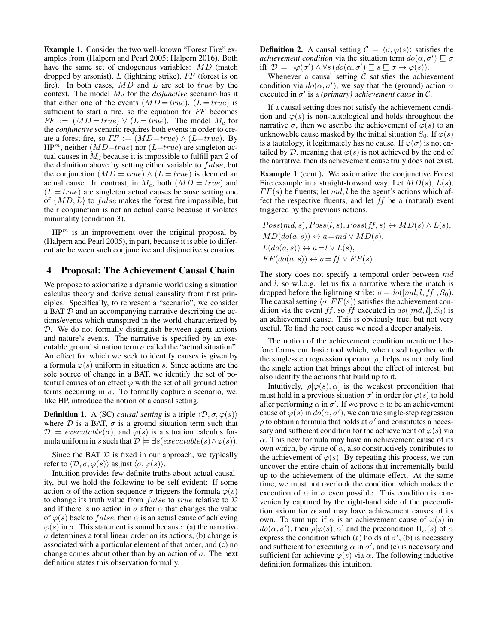Example 1. Consider the two well-known "Forest Fire" examples from (Halpern and Pearl 2005; Halpern 2016). Both have the same set of endogenous variables: MD (match dropped by arsonist),  $L$  (lightning strike),  $FF$  (forest is on fire). In both cases,  $MD$  and  $L$  are set to  $true$  by the context. The model  $M_d$  for the *disjunctive* scenario has it that either one of the events  $(MD = true)$ ,  $(L = true)$  is sufficient to start a fire, so the equation for FF becomes  $FF := (MD = true) \vee (L = true)$ . The model  $M_c$  for the *conjunctive* scenario requires both events in order to create a forest fire, so  $FF := (MD = true) \wedge (L = true)$ . By  $HP<sup>m</sup>$ , neither  $(MD=true)$  nor  $(L=true)$  are singleton actual causes in  $M_d$  because it is impossible to fulfill part 2 of the definition above by setting either variable to  $false$ , but the conjunction  $(MD = true) \wedge (L = true)$  is deemed an actual cause. In contrast, in  $M_c$ , both  $(MD = true)$  and  $(L = true)$  are singleton actual causes because setting one of  $\{MD, L\}$  to *false* makes the forest fire impossible, but their conjunction is not an actual cause because it violates minimality (condition 3).

 $HP<sup>m</sup>$  is an improvement over the original proposal by (Halpern and Pearl 2005), in part, because it is able to differentiate between such conjunctive and disjunctive scenarios.

## 4 Proposal: The Achievement Causal Chain

We propose to axiomatize a dynamic world using a situation calculus theory and derive actual causality from first principles. Specifically, to represent a "scenario", we consider a BAT  $D$  and an accompanying narrative describing the actions/events which transpired in the world characterized by D. We do not formally distinguish between agent actions and nature's events. The narrative is specified by an executable ground situation term  $\sigma$  called the "actual situation". An effect for which we seek to identify causes is given by a formula  $\varphi(s)$  uniform in situation s. Since actions are the sole source of change in a BAT, we identify the set of potential causes of an effect  $\varphi$  with the set of all ground action terms occurring in  $\sigma$ . To formally capture a scenario, we, like HP, introduce the notion of a causal setting.

**Definition 1.** A (SC) *causal setting* is a triple  $\langle \mathcal{D}, \sigma, \varphi(s) \rangle$ where  $D$  is a BAT,  $\sigma$  is a ground situation term such that  $\mathcal{D} \models \mathit{execute}(\sigma)$ , and  $\varphi(s)$  is a situation calculus formula uniform in s such that  $\mathcal{D} \models \exists s(executable(s) \land \varphi(s)).$ 

Since the BAT  $D$  is fixed in our approach, we typically refer to  $\langle \mathcal{D}, \sigma, \varphi(s) \rangle$  as just  $\langle \sigma, \varphi(s) \rangle$ .

Intuition provides few definite truths about actual causality, but we hold the following to be self-evident: If some action  $\alpha$  of the action sequence  $\sigma$  triggers the formula  $\varphi(s)$ to change its truth value from  $false$  to  $true$  relative to  $D$ and if there is no action in  $\sigma$  after  $\alpha$  that changes the value of  $\varphi(s)$  back to false, then  $\alpha$  is an actual cause of achieving  $\varphi(s)$  in  $\sigma$ . This statement is sound because: (a) the narrative  $\sigma$  determines a total linear order on its actions, (b) change is associated with a particular element of that order, and (c) no change comes about other than by an action of  $\sigma$ . The next definition states this observation formally.

**Definition 2.** A causal setting  $C = \langle \sigma, \varphi(s) \rangle$  satisfies the *achievement condition* via the situation term  $do(\alpha, \sigma') \sqsubseteq \sigma$ iff  $\mathcal{D} \models \neg \varphi(\sigma') \land \forall s (do(\alpha, \sigma') \sqsubseteq s \sqsubseteq \sigma \rightarrow \varphi(s)).$ 

Whenever a causal setting  $C$  satisfies the achievement condition via  $do(\alpha, \sigma')$ , we say that the (ground) action  $\alpha$ executed in  $\sigma'$  is a *(primary) achievement cause* in C.

If a causal setting does not satisfy the achievement condition and  $\varphi(s)$  is non-tautological and holds throughout the narrative  $\sigma$ , then we ascribe the achievement of  $\varphi(s)$  to an unknowable cause masked by the initial situation  $S_0$ . If  $\varphi(s)$ is a tautology, it legitimately has no cause. If  $\varphi(\sigma)$  is not entailed by D, meaning that  $\varphi(s)$  is not achieved by the end of the narrative, then its achievement cause truly does not exist.

Example 1 (cont.). We axiomatize the conjunctive Forest Fire example in a straight-forward way. Let  $MD(s)$ ,  $L(s)$ ,  $FF(s)$  be fluents; let md, l be the agent's actions which affect the respective fluents, and let  $ff$  be a (natural) event triggered by the previous actions.

$$
Poss(md, s), Poss(l, s), Poss(ff, s) \leftrightarrow MD(s) \land L(s),
$$
  
\n
$$
MD(do(a, s)) \leftrightarrow a = md \lor MD(s),
$$
  
\n
$$
L(do(a, s)) \leftrightarrow a = l \lor L(s),
$$
  
\n
$$
FF(do(a, s)) \leftrightarrow a = ff \lor FF(s).
$$

The story does not specify a temporal order between  $md$ and  $l$ , so w.l.o.g. let us fix a narrative where the match is dropped before the lightning strike:  $\sigma = do([md, l, ff], S_0)$ . The causal setting  $\langle \sigma, FF(s) \rangle$  satisfies the achievement condition via the event ff, so ff executed in  $do([md, l], S_0)$  is an achievement cause. This is obviously true, but not very useful. To find the root cause we need a deeper analysis.

The notion of the achievement condition mentioned before forms our basic tool which, when used together with the single-step regression operator  $\rho$ , helps us not only find the single action that brings about the effect of interest, but also identify the actions that build up to it.

Intuitively,  $\rho[\varphi(s), \alpha]$  is the weakest precondition that must hold in a previous situation  $\sigma'$  in order for  $\varphi(s)$  to hold after performing  $\alpha$  in  $\sigma'$ . If we prove  $\alpha$  to be an achievement cause of  $\varphi(s)$  in  $do(\alpha, \sigma')$ , we can use single-step regression  $\rho$  to obtain a formula that holds at  $\sigma'$  and constitutes a necessary and sufficient condition for the achievement of  $\varphi(s)$  via  $\alpha$ . This new formula may have an achievement cause of its own which, by virtue of  $\alpha$ , also constructively contributes to the achievement of  $\varphi(s)$ . By repeating this process, we can uncover the entire chain of actions that incrementally build up to the achievement of the ultimate effect. At the same time, we must not overlook the condition which makes the execution of  $\alpha$  in  $\sigma$  even possible. This condition is conveniently captured by the right-hand side of the precondition axiom for  $\alpha$  and may have achievement causes of its own. To sum up: if  $\alpha$  is an achievement cause of  $\varphi(s)$  in  $do(\alpha, \sigma')$ , then  $\rho[\varphi(s), \alpha]$  and the precondition  $\Pi_{\alpha}(s)$  of  $\alpha$ express the condition which (a) holds at  $\sigma'$ , (b) is necessary and sufficient for executing  $\alpha$  in  $\sigma'$ , and (c) is necessary and sufficient for achieving  $\varphi(s)$  via  $\alpha$ . The following inductive definition formalizes this intuition.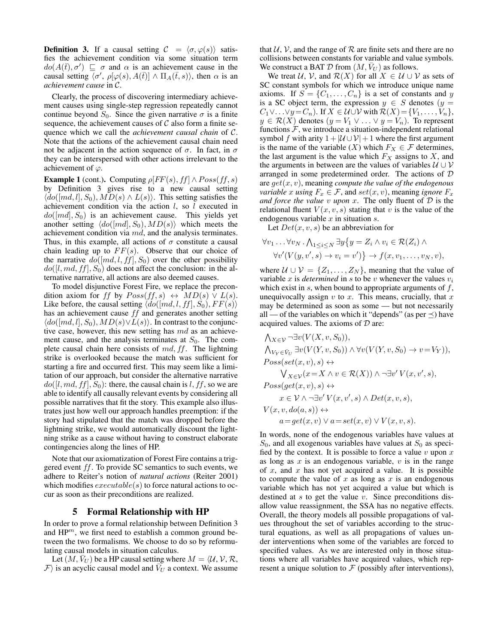**Definition 3.** If a causal setting  $C = \langle \sigma, \varphi(s) \rangle$  satisfies the achievement condition via some situation term  $do(A(\overline{t}), \sigma') \subseteq \sigma$  and  $\alpha$  is an achievement cause in the causal setting  $\overline{\langle \sigma', \rho[\varphi(s), A(\bar{t})] \wedge \Pi_A(\bar{t}, s) \rangle}$ , then  $\alpha$  is an *achievement cause* in C.

Clearly, the process of discovering intermediary achievement causes using single-step regression repeatedly cannot continue beyond  $S_0$ . Since the given narrative  $\sigma$  is a finite sequence, the achievement causes of  $\mathcal C$  also form a finite sequence which we call the *achievement causal chain* of C. Note that the actions of the achievement causal chain need not be adjacent in the action sequence of  $\sigma$ . In fact, in  $\sigma$ they can be interspersed with other actions irrelevant to the achievement of  $\varphi$ .

**Example 1** (cont.). Computing  $\rho[FF(s), ff] \wedge Poss(f, s)$ by Definition 3 gives rise to a new causal setting  $\langle do([md, l], S_0), MD(s) \wedge L(s) \rangle$ . This setting satisfies the achievement condition via the action  $l$ , so  $l$  executed in  $do([md], S_0)$  is an achievement cause. This yields yet another setting  $\langle do([md], S_0), MD(s)\rangle$  which meets the achievement condition via md, and the analysis terminates. Thus, in this example, all actions of  $\sigma$  constitute a causal chain leading up to  $FF(s)$ . Observe that our choice of the narrative  $do([md, l, ff], S_0)$  over the other possibility  $do([l, md, ff], S_0)$  does not affect the conclusion: in the alternative narrative, all actions are also deemed causes.

To model disjunctive Forest Fire, we replace the precondition axiom for ff by  $Poss(f, s) \leftrightarrow MD(s) \vee L(s)$ . Like before, the causal setting  $\langle do([md, l, ff], S_0), FF(s) \rangle$ has an achievement cause ff and generates another setting  $\langle do([md, l], S_0), MD(s) \vee L(s) \rangle$ . In contrast to the conjunctive case, however, this new setting has md as an achievement cause, and the analysis terminates at  $S_0$ . The complete causal chain here consists of  $md, ff$ . The lightning strike is overlooked because the match was sufficient for starting a fire and occurred first. This may seem like a limitation of our approach, but consider the alternative narrative  $do([l, md, ff], S_0)$ : there, the causal chain is l, ff, so we are able to identify all causally relevant events by considering all possible narratives that fit the story. This example also illustrates just how well our approach handles preemption: if the story had stipulated that the match was dropped before the lightning strike, we would automatically discount the lightning strike as a cause without having to construct elaborate contingencies along the lines of HP.

Note that our axiomatization of Forest Fire contains a triggered event ff. To provide SC semantics to such events, we adhere to Reiter's notion of *natural actions* (Reiter 2001) which modifies  $execute(s)$  to force natural actions to occur as soon as their preconditions are realized.

#### 5 Formal Relationship with HP

In order to prove a formal relationship between Definition 3 and  $HP<sup>m</sup>$ , we first need to establish a common ground between the two formalisms. We choose to do so by reformulating causal models in situation calculus.

Let  $(M, \bar{V}_U)$  be a HP causal setting where  $M = \langle U, V, \mathcal{R}, \mathcal{V} \rangle$  $\mathcal{F}$  is an acyclic causal model and  $\bar{V}_U$  a context. We assume

that  $U, V$ , and the range of  $R$  are finite sets and there are no collisions between constants for variable and value symbols. We construct a BAT  $D$  from  $(M, \bar{V}_U)$  as follows.

We treat  $U, V$ , and  $\mathcal{R}(X)$  for all  $X \in U \cup V$  as sets of SC constant symbols for which we introduce unique name axioms. If  $S = \{C_1, \ldots, C_n\}$  is a set of constants and y is a SC object term, the expression  $y \in S$  denotes  $(y =$  $C_1 \vee \ldots \vee y = C_n$ . If  $X \in \mathcal{U} \cup \mathcal{V}$  with  $\mathcal{R}(X) = \{V_1, \ldots, V_n\},$  $y \in \mathcal{R}(X)$  denotes  $(y = V_1 \vee \ldots \vee y = V_n)$ . To represent functions  $F$ , we introduce a situation-independent relational symbol f with arity  $1 + |\mathcal{U} \cup \mathcal{V}| + 1$  where the first argument is the name of the variable  $(X)$  which  $F_X \in \mathcal{F}$  determines, the last argument is the value which  $F_X$  assigns to  $X$ , and the arguments in between are the values of variables  $U \cup V$ arranged in some predetermined order. The actions of D are get(x, v), meaning *compute the value of the endogenous variable* x *using*  $F_x \in \mathcal{F}$ , and  $set(x, v)$ , meaning *ignore*  $F_x$ *and force the value* v *upon* x. The only fluent of D is the relational fluent  $V(x, v, s)$  stating that v is the value of the endogenous variable  $x$  in situation  $s$ .

Let  $Det(x, v, s)$  be an abbreviation for

$$
\forall v_1 \dots \forall v_N \cdot \bigwedge_{1 \leq i \leq N} \exists y \{ y = Z_i \land v_i \in \mathcal{R}(Z_i) \land \forall v' (V(y, v', s) \to v_i = v') \} \to f(x, v_1, \dots, v_N, v),
$$

where  $U \cup V = \{Z_1, \ldots, Z_N\}$ , meaning that the value of variable x is *determined* in s to be v whenever the values  $v_i$ which exist in  $s$ , when bound to appropriate arguments of  $f$ , unequivocally assign  $v$  to  $x$ . This means, crucially, that  $x$ may be determined as soon as some — but not necessarily all — of the variables on which it "depends" (as per  $\preceq$ ) have acquired values. The axioms of  $D$  are:

$$
\begin{aligned}\n&\bigwedge_{X\in\mathcal{V}}\neg\exists v(V(X,v,S_0)),\\
&\bigwedge_{V_Y\in\bar{V}_U}\exists v(V(Y,v,S_0))\land\forall v(V(Y,v,S_0)\to v=V_Y)),\\
\text{Poss}(\text{set}(x,v),s) &\leftrightarrow\\
&\bigvee_{X\in\mathcal{V}}(x=X\land v\in\mathcal{R}(X))\land\neg\exists v'V(x,v',s),\\
\text{Poss}(\text{get}(x,v),s) &\leftrightarrow\\
&x\in\mathcal{V}\land\neg\exists v'V(x,v',s)\land\text{Det}(x,v,s),\\
V(x,v,\text{do}(a,s)) &\leftrightarrow\\
&a=\text{get}(x,v)\lor a=\text{set}(x,v)\lor V(x,v,s).\n\end{aligned}
$$

In words, none of the endogenous variables have values at  $S_0$ , and all exogenous variables have values at  $S_0$  as specified by the context. It is possible to force a value  $v$  upon  $x$ as long as  $x$  is an endogenous variable,  $v$  is in the range of  $x$ , and  $x$  has not yet acquired a value. It is possible to compute the value of  $x$  as long as  $x$  is an endogenous variable which has not yet acquired a value but which is destined at  $s$  to get the value  $v$ . Since preconditions disallow value reassignment, the SSA has no negative effects. Overall, the theory models all possible propagations of values throughout the set of variables according to the structural equations, as well as all propagations of values under interventions when some of the variables are forced to specified values. As we are interested only in those situations where all variables have acquired values, which represent a unique solution to  $F$  (possibly after interventions),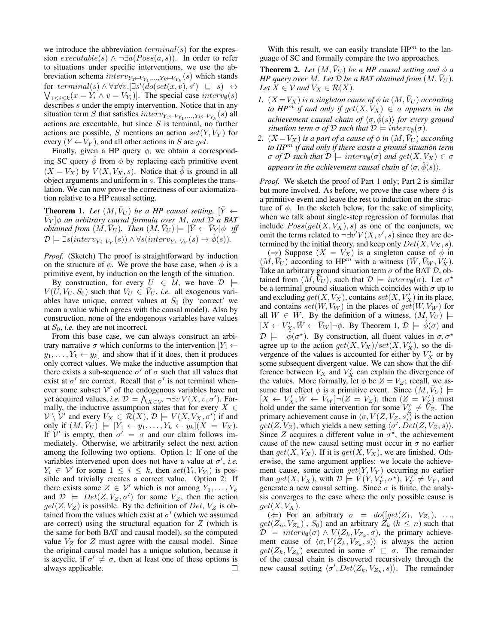we introduce the abbreviation  $terminal(s)$  for the expression  $execute(s) \wedge \neg \exists a (Poss(a, s))$ . In order to refer to situations under specific interventions, we use the abbreviation schema  $interv_{Y_1 \leftarrow V_{Y_1},...,Y_k \leftarrow V_{Y_k}}(s)$  which stands for  $terminal(s) \land \forall x \forall v. [\exists s' (\hat{do}(set(x, v), s') \subseteq s) \leftrightarrow$  $\bigvee_{1 \leq i \leq k} (x = Y_i \wedge v = V_{Y_i})$ . The special case  $interv_{\emptyset}(s)$ describes s under the empty intervention. Notice that in any situation term S that satisfies  $interv_{Y_1\leftarrow V_{Y_1},...,Y_k\leftarrow V_{Y_k}}(s)$  all actions are executable, but since  $S$  is terminal, no further actions are possible, S mentions an action  $set(Y, V_Y)$  for every  $(Y \leftarrow V_Y)$ , and all other actions in S are get.

Finally, given a HP query  $\phi$ , we obtain a corresponding SC query  $\phi$  from  $\phi$  by replacing each primitive event  $(X = V_X)$  by  $V(X, V_X, s)$ . Notice that  $\phi$  is ground in all object arguments and uniform in s. This completes the translation. We can now prove the correctness of our axiomatization relative to a HP causal setting.

**Theorem 1.** Let  $(M, \bar{V}_U)$  be a HP causal setting,  $|\bar{Y} \leftarrow$ V¯ <sup>Y</sup> ]φ *an arbitrary causal formula over* M*, and* D *a BAT*  $obtained from (M, \bar{V}_U)$ . Then  $(M, \bar{V}_U) \models [\bar{Y} \leftarrow \bar{V}_Y] \phi$  iff  $\mathcal{D} \models \exists s (interv_{\bar{Y} \leftarrow \bar{V}_Y}(s)) \land \forall s (interv_{\bar{Y} \leftarrow \bar{V}_Y}(s) \rightarrow \hat{\phi}(s)).$ 

*Proof.* (Sketch) The proof is straightforward by induction on the structure of  $\phi$ . We prove the base case, when  $\phi$  is a primitive event, by induction on the length of the situation.

By construction, for every  $U \in \mathcal{U}$ , we have  $\mathcal{D} \models$  $V(U, V_U, S_0)$  such that  $V_U \in V_U$ , *i.e.* all exogenous variables have unique, correct values at  $S_0$  (by 'correct' we mean a value which agrees with the causal model). Also by construction, none of the endogenous variables have values at  $S_0$ , *i.e.* they are not incorrect.

From this base case, we can always construct an arbitrary narrative  $\sigma$  which conforms to the intervention  $|Y_1 \leftarrow$  $y_1, \ldots, Y_k \leftarrow y_k$  and show that if it does, then it produces only correct values. We make the inductive assumption that there exists a sub-sequence  $\sigma'$  of  $\sigma$  such that all values that exist at  $\sigma'$  are correct. Recall that  $\sigma'$  is not terminal whenever some subset  $V'$  of the endogenous variables have not yet acquired values, *i.e.*  $\mathcal{D} \models \bigwedge_{X \in \mathcal{V}'} \neg \exists v \, V(X, v, \sigma')$ . Formally, the inductive assumption states that for every  $X \in$  $V \setminus V'$  and every  $V_X \in \mathcal{R}(X), \mathcal{D} \models V(X, V_X, \sigma')$  if and only if  $(M, \bar{V}_U)$   $\models$   $[Y_1 \leftarrow y_1, \ldots, Y_k \leftarrow y_k](X = V_X).$ If  $V'$  is empty, then  $\sigma' = \sigma$  and our claim follows immediately. Otherwise, we arbitrarily select the next action among the following two options. Option 1: If one of the variables intervened upon does not have a value at  $\sigma'$ , *i.e.*  $Y_i \in V'$  for some  $1 \leq i \leq k$ , then  $set(Y_i, V_{Y_i})$  is possible and trivially creates a correct value. Option 2: If there exists some  $Z \in \mathcal{V}'$  which is not among  $Y_1, \ldots, Y_k$ and  $\mathcal{D}$  =  $Det(Z, V_Z, \sigma')$  for some  $V_Z$ , then the action  $get(Z, V_Z)$  is possible. By the definition of Det,  $V_Z$  is obtained from the values which exist at  $\sigma'$  (which we assumed are correct) using the structural equation for  $Z$  (which is the same for both BAT and causal model), so the computed value  $V_Z$  for  $Z$  must agree with the causal model. Since the original causal model has a unique solution, because it is acyclic, if  $\sigma' \neq \sigma$ , then at least one of these options is always applicable.  $\Box$ 

With this result, we can easily translate  $HP^m$  to the language of SC and formally compare the two approaches.

**Theorem 2.** Let  $(M, \overline{V}_U)$  be a HP causal setting and  $\phi$  a *HP query over* M. Let  $D$  *be a BAT obtained from*  $(M, V_U)$ *. Let*  $X \in V$  *and*  $V_X \in \mathcal{R}(X)$ *.* 

- *1.*  $(X = V_X)$  *is a singleton cause of*  $\phi$  *in*  $(M, V_U)$  *according to*  $HP^m$  *if and only if get* $(X, V_X) \in \sigma$  *appears in the achievement causal chain of*  $\langle \sigma, \phi(s) \rangle$  *for every ground situation term*  $\sigma$  *of*  $D$  *such that*  $D \models \text{interv}_{\emptyset}(\sigma)$ *.*
- *2.*  $(X = V_X)$  *is a part of a cause of*  $\phi$  *in*  $(M, V_U)$  *according to HP*<sup>m</sup> *if and only if there exists a ground situation term*  $\sigma$  *of* D such that  $D \models$  interv<sub>0</sub>( $\sigma$ ) and  $get(X, V_X) \in \sigma$ *appears in the achievement causal chain of*  $\langle \sigma, \phi(s) \rangle$ *.*

*Proof.* We sketch the proof of Part 1 only; Part 2 is similar but more involved. As before, we prove the case where  $\phi$  is a primitive event and leave the rest to induction on the structure of  $\phi$ . In the sketch below, for the sake of simplicity, when we talk about single-step regression of formulas that include  $Poss(get(X, V_X), s)$  as one of the conjuncts, we omit the terms related to  $\neg \exists v' V(X, v', s)$  since they are determined by the initial theory, and keep only  $Det(X, V_X, s)$ .

(⇒) Suppose  $(X = V_X)$  is a singleton cause of  $\phi$  in  $(M, \bar{V}_U)$  according to HP<sup>m</sup> with a witness  $(\bar{W}, \bar{V}_W, V'_X)$ . Take an arbitrary ground situation term  $\sigma$  of the BAT  $\mathcal{D}$ , obtained from  $(M, \overline{V}_U)$ , such that  $\mathcal{D} \models \text{interv}_{\emptyset}(\sigma)$ . Let  $\sigma^*$ be a terminal ground situation which coincides with  $\sigma$  up to and excluding  $get(X, V_X)$ , contains  $set(X, V'_X)$  in its place, and contains  $set(W, V_W)$  in the places of  $get(W, V_W)$  for all  $W \in W$ . By the definition of a witness,  $(M, V_U)$   $\models$  $[X \leftarrow V'_X, \bar{W} \leftarrow \bar{V}_W] \neg \phi$ . By Theorem 1,  $\mathcal{D} \models \hat{\phi}(\sigma)$  and  $\mathcal{D} \models \neg \hat{\phi}(\sigma^*)$ . By construction, all fluent values in  $\sigma, \sigma^*$ agree up to the action  $get(X, V_X)/set(X, V_X')$ , so the divergence of the values is accounted for either by  $V'_X$  or by some subsequent divergent value. We can show that the difference between  $V_X$  and  $V'_X$  can explain the divergence of the values. More formally, let  $\phi$  be  $Z = V_Z$ ; recall, we assume that effect  $\phi$  is a primitive event. Since  $(M, \bar{V}_U)$   $\models$  $[X \leftarrow V'_X, \overline{W} \leftarrow \overline{V}_W] \neg (Z = V_Z)$ , then  $(Z = V'_Z)$  must hold under the same intervention for some  $V'_Z \neq V_Z$ . The primary achievement cause in  $\langle \sigma, V(Z, V_Z, s) \rangle$  is the action  $get(Z, V_Z)$ , which yields a new setting  $\langle \sigma', Det(Z, V_Z, s) \rangle$ . Since Z acquires a different value in  $\sigma^*$ , the achievement cause of the new causal setting must occur in  $\sigma$  no earlier than  $get(X, V_X)$ . If it is  $get(X, V_X)$ , we are finished. Otherwise, the same argument applies: we locate the achievement cause, some action  $get(Y, V_Y)$  occurring no earlier than  $get(X, V_X)$ , with  $\mathcal{D} \models V(Y, V'_Y, \sigma^*)$ ,  $V'_Y \neq V_Y$ , and generate a new causal setting. Since  $\sigma$  is finite, the analysis converges to the case where the only possible cause is  $get(X, V_X)$ .

( $\Leftarrow$ ) For an arbitrary  $\sigma = \text{do}(\text{[get}(Z_1, V_{Z_1}), \ldots,$  $get(Z_n, V_{Z_n})$ ,  $S_0$ ) and an arbitrary  $Z_k$  ( $k \leq n$ ) such that  $\mathcal{D}$   $\models$   $\text{interv}_{\emptyset}(\sigma) \land V(Z_k, V_{Z_k}, \sigma)$ , the primary achievement cause of  $\langle \sigma, V(Z_k, V_{Z_k}, s) \rangle$  is always the action  $get(Z_k, V_{Z_k})$  executed in some  $\sigma' \sqsubset \sigma$ . The remainder of the causal chain is discovered recursively through the new causal setting  $\langle \sigma', Det(Z_k, V_{Z_k}, s) \rangle$ . The remainder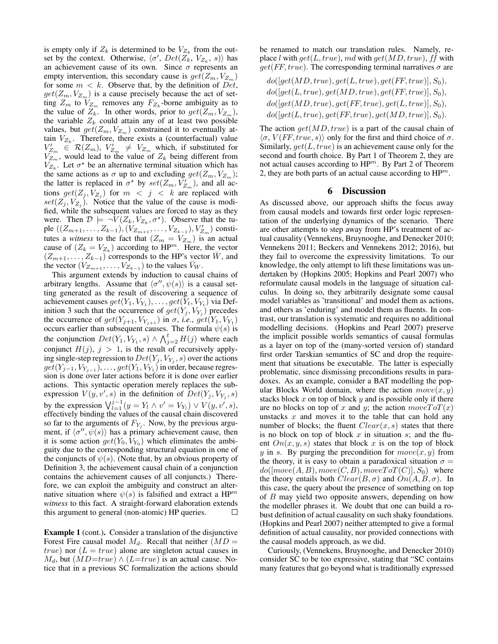is empty only if  $Z_k$  is determined to be  $V_{Z_k}$  from the outset by the context. Otherwise,  $\langle \sigma', Det(Z_k, V_{Z_k}, s) \rangle$  has an achievement cause of its own. Since  $\sigma$  represents an empty intervention, this secondary cause is  $get(Z_m, V_{Z_m})$ for some  $m < k$ . Observe that, by the definition of Det,  $get(Z_m, V_{Z_m})$  is a cause precisely because the act of setting  $Z_m$  to  $V_{Z_m}$  removes any  $F_{Z_k}$ -borne ambiguity as to the value of  $Z_k$ . In other words, prior to  $get(Z_m, V_{Z_m})$ , the variable  $Z_k$  could attain any of at least two possible values, but  $get(Z_m, V_{Z_m})$  constrained it to eventually attain  $V_{Z_k}$ . Therefore, there exists a (counterfactual) value  $V'_{Z_m} \in \mathcal{R}(Z_m)$ ,  $V'_{Z_m} \neq V_{Z_m}$  which, if substituted for  $V_{Z_m}$ , would lead to the value of  $Z_k$  being different from  $V_{Z_k}$ . Let  $\sigma^*$  be an alternative terminal situation which has the same actions as  $\sigma$  up to and excluding  $get(Z_m, V_{Z_m});$ the latter is replaced in  $\sigma^*$  by  $set(Z_m, V'_{Z_m})$ , and all actions  $get(Z_j, V_{Z_j})$  for  $m < j < k$  are replaced with  $set(Z_j, V_{Z_j})$ . Notice that the value of the cause is modified, while the subsequent values are forced to stay as they were. Then  $\mathcal{D} \models \neg V(Z_k, V_{Z_k}, \sigma^*)$ . Observe that the tuple  $((Z_{m+1},...,Z_{k-1}), (V_{Z_{m+1}},...,V_{Z_{k-1}}), V'_{Z_m})$  constitutes a *witness* to the fact that  $(Z_m = V_{Z_m})$  is an actual cause of  $(Z_k = V_{Z_k})$  according to HP<sup>m</sup>. Here, the vector  $(Z_{m+1}, \ldots, Z_{k-1})$  corresponds to the HP's vector  $\overline{W}$ , and the vector  $(V_{Z_{m+1}}, \ldots, V_{Z_{k-1}})$  to the values  $\bar{V}_W$ .

This argument extends by induction to causal chains of arbitrary lengths. Assume that  $\langle \sigma'', \psi(s) \rangle$  is a causal setting generated as the result of discovering a sequence of achievement causes  $get(Y_1, V_{Y_1}), \ldots, get(Y_t, V_{Y_t})$  via Definition 3 such that the occurrence of  $get(Y_j, V_{Y_j})$  precedes the occurrence of  $get(Y_{j+1}, V_{Y_{j+1}})$  in  $\sigma$ , *i.e.*,  $get(Y_1, V_{Y_1})$ occurs earlier than subsequent causes. The formula  $\psi(s)$  is the conjunction  $Det(Y_1, V_{Y_1}, s) \wedge \bigwedge_{j=2}^t H(j)$  where each conjunct  $H(j)$ ,  $j > 1$ , is the result of recursively applying single-step regression to  $Det(Y_j, V_{Y_j}, s)$  over the actions  $get(Y_{j-1}, V_{Y_{j-1}}), \ldots, get(Y_1, V_{Y_1})$  in order, because regression is done over later actions before it is done over earlier actions. This syntactic operation merely replaces the subexpression  $V(y, v', s)$  in the definition of  $Det(Y_j, V_{Y_j}, s)$ by the expression  $\bigvee_{l=1}^{j-1} (y = Y_l \wedge v' = V_{Y_l}) \vee V(y, v', s)$ , effectively binding the values of the causal chain discovered so far to the arguments of  $F_{Y_j}$ . Now, by the previous argument, if  $\langle \sigma'', \psi(s) \rangle$  has a primary achievement cause, then it is some action  $get(Y_0, V_{Y_0})$  which eliminates the ambiguity due to the corresponding structural equation in one of the conjuncts of  $\psi(s)$ . (Note that, by an obvious property of Definition 3, the achievement causal chain of a conjunction contains the achievement causes of all conjuncts.) Therefore, we can exploit the ambiguity and construct an alternative situation where  $\psi(s)$  is falsified and extract a HP<sup>m</sup> *witness* to this fact. A straight-forward elaboration extends this argument to general (non-atomic) HP queries.  $\Box$ 

Example 1 (cont.). Consider a translation of the disjunctive Forest Fire causal model  $M_d$ . Recall that neither  $(MD =$ true) nor  $(L = true)$  alone are singleton actual causes in  $M_d$ , but  $(MD=true) \wedge (L=true)$  is an actual cause. Notice that in a previous SC formalization the actions should

be renamed to match our translation rules. Namely, replace l with  $get(L, true), md$  with  $get(MD, true), ff$  with  $get(FF, true)$ . The corresponding terminal narratives  $\sigma$  are

$$
do([get(MD, true), get(L, true), get(FF, true)], S_0), \\ do([get(L, true), get(MD, true), get(FF, true)], S_0), \\ do([get(MD, true), get(FF, true), get(L, true)], S_0), \\ do([get(L, true), get(FF, true), get(MD, true)], S_0).
$$

The action  $qet(MD, true)$  is a part of the causal chain of  $\langle \sigma, V (FF, true, s) \rangle$  only for the first and third choice of  $\sigma$ . Similarly,  $get(L, true)$  is an achievement cause only for the second and fourth choice. By Part 1 of Theorem 2, they are not actual causes according to  $HP^m$ . By Part 2 of Theorem 2, they are both parts of an actual cause according to  $HP^m$ .

## 6 Discussion

As discussed above, our approach shifts the focus away from causal models and towards first order logic representation of the underlying dynamics of the scenario. There are other attempts to step away from HP's treatment of actual causality (Vennekens, Bruynooghe, and Denecker 2010; Vennekens 2011; Beckers and Vennekens 2012; 2016), but they fail to overcome the expressivity limitations. To our knowledge, the only attempt to lift these limitations was undertaken by (Hopkins 2005; Hopkins and Pearl 2007) who reformulate causal models in the language of situation calculus. In doing so, they arbitrarily designate some causal model variables as 'transitional' and model them as actions, and others as 'enduring' and model them as fluents. In contrast, our translation is systematic and requires no additional modelling decisions. (Hopkins and Pearl 2007) preserve the implicit possible worlds semantics of causal formulas as a layer on top of the (many-sorted version of) standard first order Tarskian semantics of SC and drop the requirement that situations be executable. The latter is especially problematic, since dismissing preconditions results in paradoxes. As an example, consider a BAT modelling the popular Blocks World domain, where the action  $move(x, y)$ stacks block  $x$  on top of block  $y$  and is possible only if there are no blocks on top of x and y; the action  $moveToT(x)$ unstacks  $x$  and moves it to the table that can hold any number of blocks; the fluent  $Clear(x, s)$  states that there is no block on top of block  $x$  in situation  $s$ ; and the fluent  $On(x, y, s)$  states that block x is on the top of block y in s. By purging the precondition for  $move(x, y)$  from the theory, it is easy to obtain a paradoxical situation  $\sigma =$  $do([move(A, B), move(C, B), moveToT(C)], S_0)$  where the theory entails both  $Clear(B,\sigma)$  and  $On(A, B, \sigma)$ . In this case, the query about the presence of something on top of  $B$  may yield two opposite answers, depending on how the modeller phrases it. We doubt that one can build a robust definition of actual causality on such shaky foundations. (Hopkins and Pearl 2007) neither attempted to give a formal definition of actual causality, nor provided connections with the causal models approach, as we did.

Curiously, (Vennekens, Bruynooghe, and Denecker 2010) consider SC to be too expressive, stating that "SC contains many features that go beyond what is traditionally expressed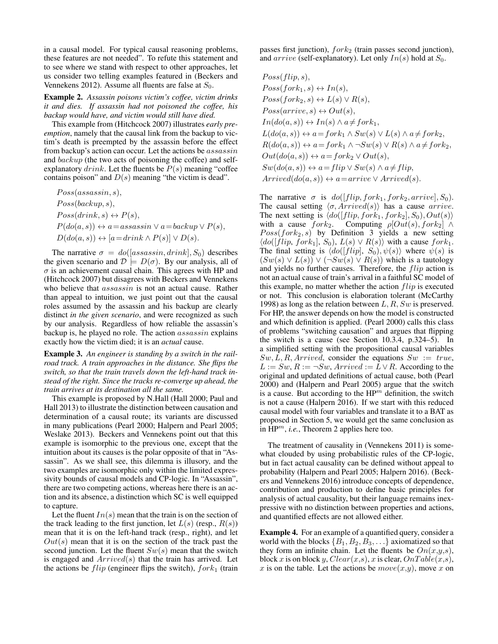in a causal model. For typical causal reasoning problems, these features are not needed". To refute this statement and to see where we stand with respect to other approaches, let us consider two telling examples featured in (Beckers and Vennekens 2012). Assume all fluents are false at  $S_0$ .

Example 2. *Assassin poisons victim's coffee, victim drinks it and dies. If assassin had not poisoned the coffee, his backup would have, and victim would still have died.*

This example from (Hitchcock 2007) illustrates *early preemption*, namely that the causal link from the backup to victim's death is preempted by the assassin before the effect from backup's action can occur. Let the actions be assassin and backup (the two acts of poisoning the coffee) and selfexplanatory  $drink$ . Let the fluents be  $P(s)$  meaning "coffee contains poison" and  $D(s)$  meaning "the victim is dead".

 $Poss(assassin, s),$  $Poss(backup, s),$  $Poss(drink, s) \leftrightarrow P(s),$  $P(do(a, s)) \leftrightarrow a = \text{assassin} \lor a = \text{backup} \lor P(s),$  $D(do(a, s)) \leftrightarrow [a = drink \wedge P(s)] \vee D(s).$ 

The narrative  $\sigma = do([assassin, drink], S_0)$  describes the given scenario and  $\mathcal{D} \models D(\sigma)$ . By our analysis, all of  $\sigma$  is an achievement causal chain. This agrees with HP and (Hitchcock 2007) but disagrees with Beckers and Vennekens who believe that  $assassin$  is not an actual cause. Rather than appeal to intuition, we just point out that the causal roles assumed by the assassin and his backup are clearly distinct *in the given scenario*, and were recognized as such by our analysis. Regardless of how reliable the assassin's backup is, he played no role. The action assassin explains exactly how the victim died; it is an *actual* cause.

Example 3. *An engineer is standing by a switch in the railroad track. A train approaches in the distance. She flips the switch, so that the train travels down the left-hand track instead of the right. Since the tracks re-converge up ahead, the train arrives at its destination all the same.*

This example is proposed by N.Hall (Hall 2000; Paul and Hall 2013) to illustrate the distinction between causation and determination of a causal route; its variants are discussed in many publications (Pearl 2000; Halpern and Pearl 2005; Weslake 2013). Beckers and Vennekens point out that this example is isomorphic to the previous one, except that the intuition about its causes is the polar opposite of that in "Assassin". As we shall see, this dilemma is illusory, and the two examples are isomorphic only within the limited expressivity bounds of causal models and CP-logic. In "Assassin", there are two competing actions, whereas here there is an action and its absence, a distinction which SC is well equipped to capture.

Let the fluent  $In(s)$  mean that the train is on the section of the track leading to the first junction, let  $L(s)$  (resp.,  $R(s)$ ) mean that it is on the left-hand track (resp., right), and let  $Out(s)$  mean that it is on the section of the track past the second junction. Let the fluent  $Sw(s)$  mean that the switch is engaged and  $Arrived(s)$  that the train has arrived. Let the actions be  $flip$  (engineer flips the switch),  $fork_1$  (train

passes first junction),  $fork_2$  (train passes second junction), and  $arrive$  (self-explanatory). Let only  $In(s)$  hold at  $S_0$ .

 $Poss(flip, s),$  $Poss(fork<sub>1</sub>, s) \leftrightarrow In(s),$  $Poss(fork_2, s) \leftrightarrow L(s) \vee R(s),$  $Poss(arrive, s) \leftrightarrow Out(s),$  $In(do(a, s)) \leftrightarrow In(s) \land a \neq fork_1,$  $L(do(a, s)) \leftrightarrow a = for k_1 \wedge Sw(s) \vee L(s) \wedge a \neq for k_2,$  $R(do(a, s)) \leftrightarrow a = fork_1 \wedge \neg Sw(s) \vee R(s) \wedge a \neq fork_2,$  $Out(do(a, s)) \leftrightarrow a = for k_2 \vee Out(s),$  $Sw(do(a, s)) \leftrightarrow a = flip \vee Sw(s) \wedge a \neq flip,$  $Arrived-do(a, s)) \leftrightarrow a = arrive \vee Arrived(s).$ 

The narrative  $\sigma$  is  $do([flip, fork_1, fork_2, arrive], S_0)$ . The causal setting  $\langle \sigma, Arrived(s) \rangle$  has a cause arrive. The next setting is  $\langle do([flip, fork_1, fork_2], S_0), Out(s) \rangle$ with a cause  $fork_2$ . Computing  $\rho[Out(s), fork_2] \wedge$  $Poss(fork<sub>2</sub>, s)$  by Definition 3 yields a new setting  $\langle do([flip, fork_1], S_0), L(s) \vee R(s) \rangle$  with a cause  $fork_1$ . The final setting is  $\langle do([flip], S_0), \psi(s) \rangle$  where  $\psi(s)$  is  $(Sw(s) \vee L(s)) \vee (\neg Sw(s) \vee R(s))$  which is a tautology and yields no further causes. Therefore, the flip action is not an actual cause of train's arrival in a faithful SC model of this example, no matter whether the action  $flip$  is executed or not. This conclusion is elaboration tolerant (McCarthy 1998) as long as the relation between  $L, R, Sw$  is preserved. For HP, the answer depends on how the model is constructed and which definition is applied. (Pearl 2000) calls this class of problems "switching causation" and argues that flipping the switch is a cause (see Section 10.3.4, p.324–5). In a simplified setting with the propositional causal variables  $Sw, L, R, Arrived$ , consider the equations  $Sw := true$ ,  $L := Sw, R := \neg Sw, Arrived := L \vee R$ . According to the original and updated definitions of actual cause, both (Pearl 2000) and (Halpern and Pearl 2005) argue that the switch is a cause. But according to the  $HP^m$  definition, the switch is not a cause (Halpern 2016). If we start with this reduced causal model with four variables and translate it to a BAT as proposed in Section 5, we would get the same conclusion as in HP<sup>m</sup>, *i.e.*, Theorem 2 applies here too.

The treatment of causality in (Vennekens 2011) is somewhat clouded by using probabilistic rules of the CP-logic, but in fact actual causality can be defined without appeal to probability (Halpern and Pearl 2005; Halpern 2016). (Beckers and Vennekens 2016) introduce concepts of dependence, contribution and production to define basic principles for analysis of actual causality, but their language remains inexpressive with no distinction between properties and actions, and quantified effects are not allowed either.

Example 4. For an example of a quantified query, consider a world with the blocks  $\{B_1, B_2, B_3, \ldots\}$  axiomatized so that they form an infinite chain. Let the fluents be  $On(x,y,s)$ , block x is on block y,  $Clear(x,s)$ , x is clear,  $OnTable(x,s)$ , x is on the table. Let the actions be  $move(x, y)$ , move x on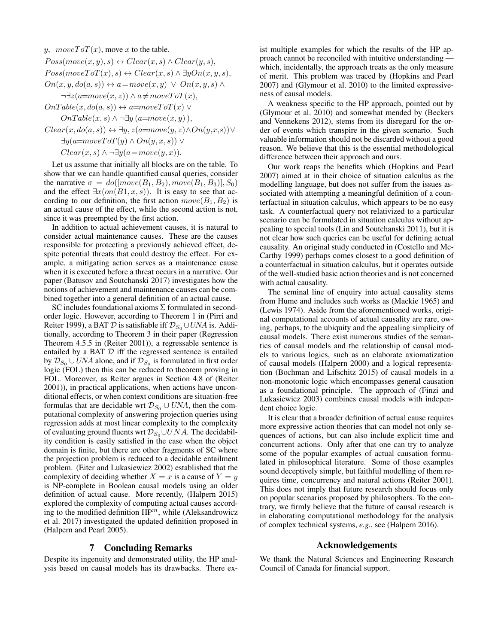$$
y, \quad moveToT(x), \quad move x \text{ to the table.}
$$
\n
$$
Poss(move(x, y), s) \leftrightarrow Clear(x, s) \land Clear(y, s),
$$
\n
$$
Poss(moveToT(x), s) \leftrightarrow Clear(x, s) \land \exists yOn(x, y, s),
$$
\n
$$
On(x, y, do(a, s)) \leftrightarrow a = move(x, y) \lor On(x, y, s) \land
$$
\n
$$
\neg \exists z(a = move(x, z)) \land a \neq moveToT(x),
$$
\n
$$
OnTable(x, do(a, s)) \leftrightarrow a = moveToT(x) \lor
$$
\n
$$
OnTable(x, s) \land \neg \exists y(a = move(x, y)),
$$
\n
$$
Clear(x, do(a, s)) \leftrightarrow \exists y, z(a = move(y, z) \land On(y, x, s)) \lor
$$

 $\exists y(a=moveT oT(y) \land On(y,x,s)) \lor$ 

 $Clear(x, s) \wedge \neg \exists y (a = move(y, x)).$ 

Let us assume that initially all blocks are on the table. To show that we can handle quantified causal queries, consider the narrative  $\sigma = do([move(B_1, B_2), move(B_1, B_3)], S_0)$ and the effect  $\exists x (on(B1, x, s))$ . It is easy to see that according to our definition, the first action  $move(B_1, B_2)$  is an actual cause of the effect, while the second action is not, since it was preempted by the first action.

In addition to actual achievement causes, it is natural to consider actual maintenance causes. These are the causes responsible for protecting a previously achieved effect, despite potential threats that could destroy the effect. For example, a mitigating action serves as a maintenance cause when it is executed before a threat occurs in a narrative. Our paper (Batusov and Soutchanski 2017) investigates how the notions of achievement and maintenance causes can be combined together into a general definition of an actual cause.

SC includes foundational axioms Σ formulated in secondorder logic. However, according to Theorem 1 in (Pirri and Reiter 1999), a BAT D is satisfiable iff  $\mathcal{D}_{S_0} \cup UNA$  is. Additionally, according to Theorem 3 in their paper (Regression Theorem 4.5.5 in (Reiter 2001)), a regressable sentence is entailed by a BAT  $D$  iff the regressed sentence is entailed by  $\mathcal{D}_{S_0} \cup UNA$  alone, and if  $\mathcal{D}_{S_0}$  is formulated in first order logic (FOL) then this can be reduced to theorem proving in FOL. Moreover, as Reiter argues in Section 4.8 of (Reiter 2001)), in practical applications, when actions have unconditional effects, or when context conditions are situation-free formulas that are decidable wrt  $\mathcal{D}_{S_0} \cup UNA$ , then the computational complexity of answering projection queries using regression adds at most linear complexity to the complexity of evaluating ground fluents wrt  $\mathcal{D}_{S_0} \cup UNA$ . The decidability condition is easily satisfied in the case when the object domain is finite, but there are other fragments of SC where the projection problem is reduced to a decidable entailment problem. (Eiter and Lukasiewicz 2002) established that the complexity of deciding whether  $X = x$  is a cause of  $Y = y$ is NP-complete in Boolean causal models using an older definition of actual cause. More recently, (Halpern 2015) explored the complexity of computing actual causes according to the modified definition  $HP^m$ , while (Aleksandrowicz et al. 2017) investigated the updated definition proposed in (Halpern and Pearl 2005).

## 7 Concluding Remarks

Despite its ingenuity and demonstrated utility, the HP analysis based on causal models has its drawbacks. There exist multiple examples for which the results of the HP approach cannot be reconciled with intuitive understanding which, incidentally, the approach treats as the only measure of merit. This problem was traced by (Hopkins and Pearl 2007) and (Glymour et al. 2010) to the limited expressiveness of causal models.

A weakness specific to the HP approach, pointed out by (Glymour et al. 2010) and somewhat mended by (Beckers and Vennekens 2012), stems from its disregard for the order of events which transpire in the given scenario. Such valuable information should not be discarded without a good reason. We believe that this is the essential methodological difference between their approach and ours.

Our work reaps the benefits which (Hopkins and Pearl 2007) aimed at in their choice of situation calculus as the modelling language, but does not suffer from the issues associated with attempting a meaningful definition of a counterfactual in situation calculus, which appears to be no easy task. A counterfactual query not relativized to a particular scenario can be formulated in situation calculus without appealing to special tools (Lin and Soutchanski 2011), but it is not clear how such queries can be useful for defining actual causality. An original study conducted in (Costello and Mc-Carthy 1999) perhaps comes closest to a good definition of a counterfactual in situation calculus, but it operates outside of the well-studied basic action theories and is not concerned with actual causality.

The seminal line of enquiry into actual causality stems from Hume and includes such works as (Mackie 1965) and (Lewis 1974). Aside from the aforementioned works, original computational accounts of actual causality are rare, owing, perhaps, to the ubiquity and the appealing simplicity of causal models. There exist numerous studies of the semantics of causal models and the relationship of causal models to various logics, such as an elaborate axiomatization of causal models (Halpern 2000) and a logical representation (Bochman and Lifschitz 2015) of causal models in a non-monotonic logic which encompasses general causation as a foundational principle. The approach of (Finzi and Lukasiewicz 2003) combines causal models with independent choice logic.

It is clear that a broader definition of actual cause requires more expressive action theories that can model not only sequences of actions, but can also include explicit time and concurrent actions. Only after that one can try to analyze some of the popular examples of actual causation formulated in philosophical literature. Some of those examples sound deceptively simple, but faithful modelling of them requires time, concurrency and natural actions (Reiter 2001). This does not imply that future research should focus only on popular scenarios proposed by philosophers. To the contrary, we firmly believe that the future of causal research is in elaborating computational methodology for the analysis of complex technical systems, *e.g.*, see (Halpern 2016).

## Acknowledgements

We thank the Natural Sciences and Engineering Research Council of Canada for financial support.